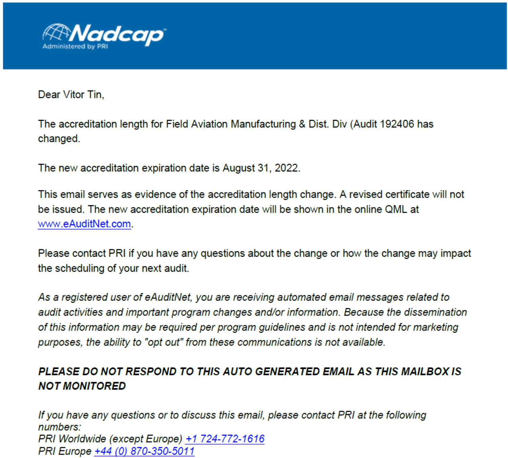

Dear Vitor Tin.

The accreditation length for Field Aviation Manufacturing & Dist. Div (Audit 192406 has changed.

The new accreditation expiration date is August 31, 2022.

This email serves as evidence of the accreditation length change. A revised certificate will not be issued. The new accreditation expiration date will be shown in the online QML at www.eAuditNet.com.

Please contact PRI if you have any questions about the change or how the change may impact the scheduling of your next audit.

As a registered user of eAuditNet, you are receiving automated email messages related to audit activities and important program changes and/or information. Because the dissemination of this information may be required per program guidelines and is not intended for marketing purposes, the ability to "opt out" from these communications is not available.

### PLEASE DO NOT RESPOND TO THIS AUTO GENERATED EMAIL AS THIS MAILBOX IS **NOT MONITORED**

If you have any questions or to discuss this email, please contact PRI at the following numbers: PRI Worldwide (except Europe) +1 724-772-1616 PRI Europe +44 (0) 870-350-5011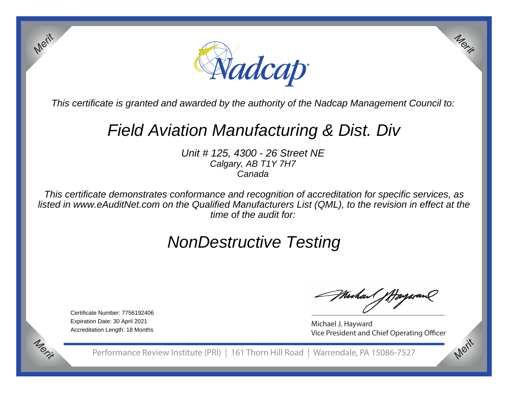

This certificate is granted and awarded by the authority of the Nadcap Management Council to:

# Field Aviation Manufacturing & Dist. Div

Unit # 125, 4300 - 26 Street NECalgary, AB T1Y 7H7Canada

This certificate demonstrates conformance and recognition of accreditation for specific services, as listed in www.eAuditNet.com on the Qualified Manufacturers List (QML), to the revision in effect at thetime of the audit for:

## NonDestructive Testing

Certificate Number: 7756192406Expiration Date: 30 April 2021Accreditation Length: 18 Months

*Merit*

*Merit*

MuhaMp

*Merit*

*Merit*

Michael J. Hayward Vice President and Chief Operating Officer

Performance Review Institute (PRI) | 161 Thorn Hill Road | Warrendale, PA 15086-7527